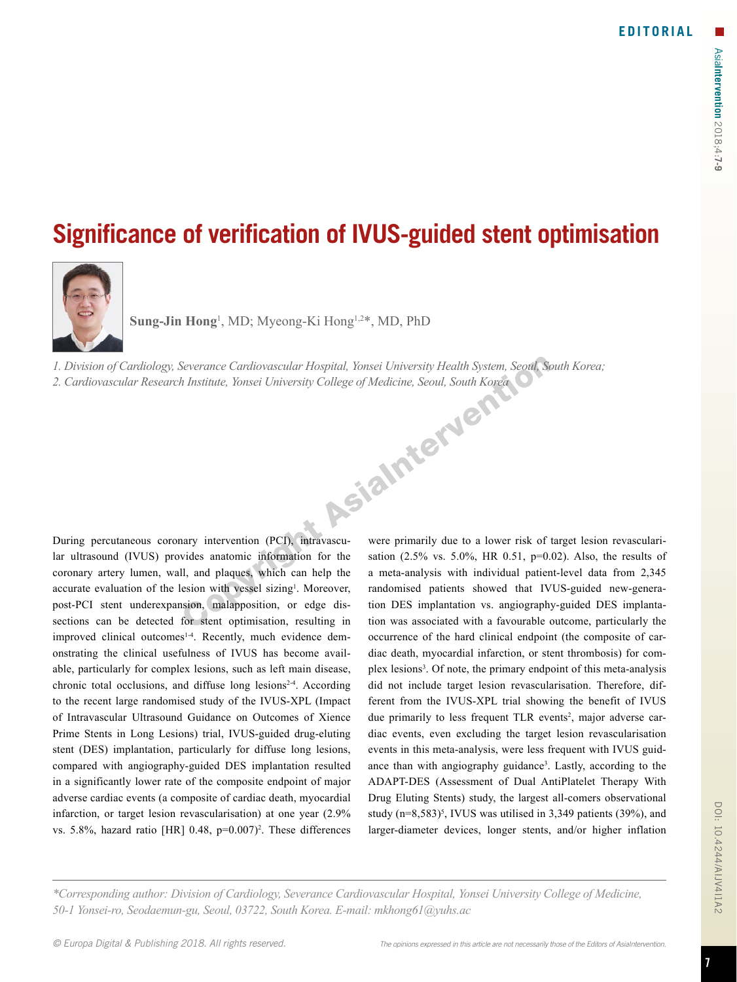## **Significance of verification of IVUS-guided stent optimisation**



**Sung-Jin Hong**<sup>1</sup> , MD; Myeong-Ki Hong1,2\*, MD, PhD

*1. Division of Cardiology, Severance Cardiovascular Hospital, Yonsei University Health System, Seoul, South Korea;* 

*2. Cardiovascular Research Institute, Yonsei University College of Medicine, Seoul, South Korea*

During percutaneous coronary intervention (PCI), intravascular ultrasound (IVUS) provides anatomic information for the coronary artery lumen, wall, and plaques, which can help the accurate evaluation of the lesion with vessel sizing<sup>1</sup>. Moreover, post-PCI stent underexpansion, malapposition, or edge dissections can be detected for stent optimisation, resulting in improved clinical outcomes<sup>1-4</sup>. Recently, much evidence demonstrating the clinical usefulness of IVUS has become available, particularly for complex lesions, such as left main disease, chronic total occlusions, and diffuse long lesions<sup>2-4</sup>. According to the recent large randomised study of the IVUS-XPL (Impact of Intravascular Ultrasound Guidance on Outcomes of Xience Prime Stents in Long Lesions) trial, IVUS-guided drug-eluting stent (DES) implantation, particularly for diffuse long lesions, compared with angiography-guided DES implantation resulted in a significantly lower rate of the composite endpoint of major adverse cardiac events (a composite of cardiac death, myocardial infarction, or target lesion revascularisation) at one year (2.9% vs.  $5.8\%$ , hazard ratio [HR]  $0.48$ ,  $p=0.007$ <sup>2</sup>. These differences were primarily due to a lower risk of target lesion revascularisation (2.5% vs. 5.0%, HR 0.51, p=0.02). Also, the results of a meta-analysis with individual patient-level data from 2,345 randomised patients showed that IVUS-guided new-generation DES implantation vs. angiography-guided DES implantation was associated with a favourable outcome, particularly the occurrence of the hard clinical endpoint (the composite of cardiac death, myocardial infarction, or stent thrombosis) for complex lesions<sup>3</sup>. Of note, the primary endpoint of this meta-analysis did not include target lesion revascularisation. Therefore, different from the IVUS-XPL trial showing the benefit of IVUS due primarily to less frequent TLR events<sup>2</sup>, major adverse cardiac events, even excluding the target lesion revascularisation events in this meta-analysis, were less frequent with IVUS guidance than with angiography guidance<sup>3</sup>. Lastly, according to the ADAPT-DES (Assessment of Dual AntiPlatelet Therapy With Drug Eluting Stents) study, the largest all-comers observational study  $(n=8,583)^5$ , IVUS was utilised in 3,349 patients (39%), and larger-diameter devices, longer stents, and/or higher inflation

*\*Corresponding author: Division of Cardiology, Severance Cardiovascular Hospital, Yonsei University College of Medicine, 50-1 Yonsei-ro, Seodaemun-gu, Seoul, 03722, South Korea. E-mail: mkhong61@yuhs.ac*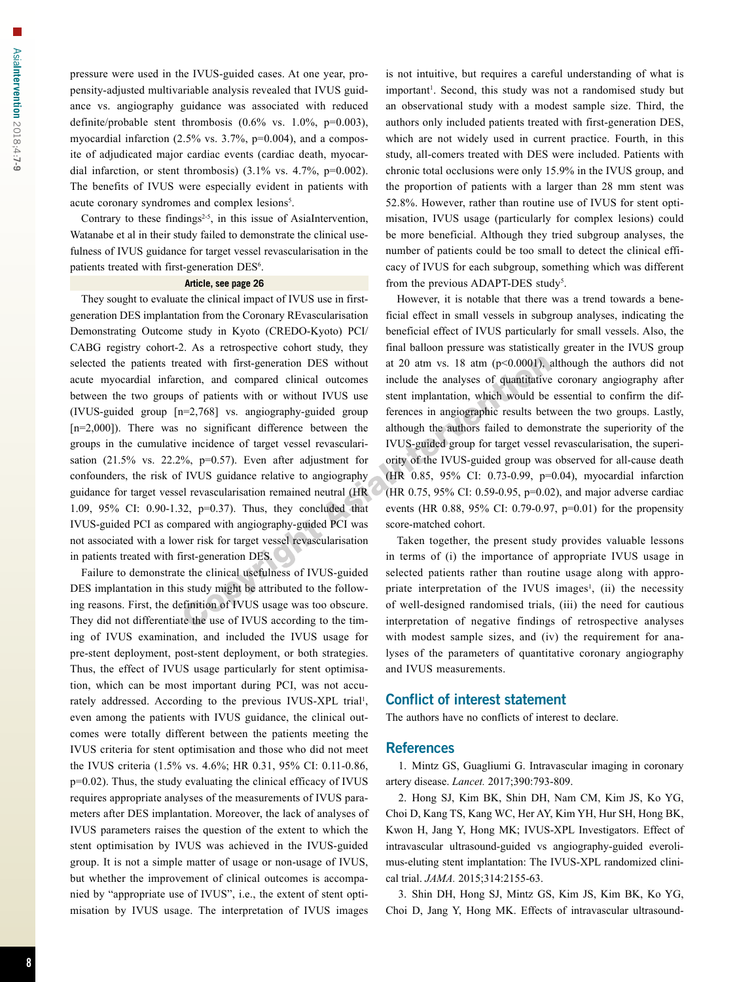pressure were used in the IVUS-guided cases. At one year, propensity-adjusted multivariable analysis revealed that IVUS guidance vs. angiography guidance was associated with reduced definite/probable stent thrombosis  $(0.6\%$  vs.  $1.0\%$ , p=0.003), myocardial infarction (2.5% vs. 3.7%, p=0.004), and a composite of adjudicated major cardiac events (cardiac death, myocardial infarction, or stent thrombosis)  $(3.1\% \text{ vs. } 4.7\% \text{, } p=0.002)$ . The benefits of IVUS were especially evident in patients with acute coronary syndromes and complex lesions<sup>5</sup>.

Contrary to these findings<sup> $2-5$ </sup>, in this issue of AsiaIntervention, Watanabe et al in their study failed to demonstrate the clinical usefulness of IVUS guidance for target vessel revascularisation in the patients treated with first-generation DES<sup>6</sup>.

## **Article, see page 26**

They sought to evaluate the clinical impact of IVUS use in firstgeneration DES implantation from the Coronary REvascularisation Demonstrating Outcome study in Kyoto (CREDO-Kyoto) PCI/ CABG registry cohort-2. As a retrospective cohort study, they selected the patients treated with first-generation DES without acute myocardial infarction, and compared clinical outcomes between the two groups of patients with or without IVUS use (IVUS-guided group [n=2,768] vs. angiography-guided group [n=2,000]). There was no significant difference between the groups in the cumulative incidence of target vessel revascularisation  $(21.5\%$  vs.  $22.2\%$ ,  $p=0.57$ ). Even after adjustment for confounders, the risk of IVUS guidance relative to angiography guidance for target vessel revascularisation remained neutral (HR 1.09, 95% CI: 0.90-1.32, p=0.37). Thus, they concluded that IVUS-guided PCI as compared with angiography-guided PCI was not associated with a lower risk for target vessel revascularisation in patients treated with first-generation DES.

Failure to demonstrate the clinical usefulness of IVUS-guided DES implantation in this study might be attributed to the following reasons. First, the definition of IVUS usage was too obscure. They did not differentiate the use of IVUS according to the timing of IVUS examination, and included the IVUS usage for pre-stent deployment, post-stent deployment, or both strategies. Thus, the effect of IVUS usage particularly for stent optimisation, which can be most important during PCI, was not accurately addressed. According to the previous IVUS-XPL trial<sup>1</sup>, even among the patients with IVUS guidance, the clinical outcomes were totally different between the patients meeting the IVUS criteria for stent optimisation and those who did not meet the IVUS criteria (1.5% vs. 4.6%; HR 0.31, 95% CI: 0.11-0.86, p=0.02). Thus, the study evaluating the clinical efficacy of IVUS requires appropriate analyses of the measurements of IVUS parameters after DES implantation. Moreover, the lack of analyses of IVUS parameters raises the question of the extent to which the stent optimisation by IVUS was achieved in the IVUS-guided group. It is not a simple matter of usage or non-usage of IVUS, but whether the improvement of clinical outcomes is accompanied by "appropriate use of IVUS", i.e., the extent of stent optimisation by IVUS usage. The interpretation of IVUS images

is not intuitive, but requires a careful understanding of what is important<sup>1</sup>. Second, this study was not a randomised study but an observational study with a modest sample size. Third, the authors only included patients treated with first-generation DES, which are not widely used in current practice. Fourth, in this study, all-comers treated with DES were included. Patients with chronic total occlusions were only 15.9% in the IVUS group, and the proportion of patients with a larger than 28 mm stent was 52.8%. However, rather than routine use of IVUS for stent optimisation, IVUS usage (particularly for complex lesions) could be more beneficial. Although they tried subgroup analyses, the number of patients could be too small to detect the clinical efficacy of IVUS for each subgroup, something which was different from the previous ADAPT-DES study<sup>5</sup>.

However, it is notable that there was a trend towards a beneficial effect in small vessels in subgroup analyses, indicating the beneficial effect of IVUS particularly for small vessels. Also, the final balloon pressure was statistically greater in the IVUS group at 20 atm vs. 18 atm  $(p<0.0001)$ , although the authors did not include the analyses of quantitative coronary angiography after stent implantation, which would be essential to confirm the differences in angiographic results between the two groups. Lastly, although the authors failed to demonstrate the superiority of the IVUS-guided group for target vessel revascularisation, the superiority of the IVUS-guided group was observed for all-cause death (HR 0.85, 95% CI: 0.73-0.99, p=0.04), myocardial infarction (HR 0.75, 95% CI: 0.59-0.95, p=0.02), and major adverse cardiac events (HR 0.88, 95% CI: 0.79-0.97, p=0.01) for the propensity score-matched cohort.

Taken together, the present study provides valuable lessons in terms of (i) the importance of appropriate IVUS usage in selected patients rather than routine usage along with appropriate interpretation of the IVUS images<sup>1</sup>, (ii) the necessity of well-designed randomised trials, (iii) the need for cautious interpretation of negative findings of retrospective analyses with modest sample sizes, and (iv) the requirement for analyses of the parameters of quantitative coronary angiography and IVUS measurements.

## Conflict of interest statement

The authors have no conflicts of interest to declare.

## **References**

1. Mintz GS, Guagliumi G. Intravascular imaging in coronary artery disease. *Lancet.* 2017;390:793-809.

2. Hong SJ, Kim BK, Shin DH, Nam CM, Kim JS, Ko YG, Choi D, Kang TS, Kang WC, Her AY, Kim YH, Hur SH, Hong BK, Kwon H, Jang Y, Hong MK; IVUS-XPL Investigators. Effect of intravascular ultrasound-guided vs angiography-guided everolimus-eluting stent implantation: The IVUS-XPL randomized clinical trial. *JAMA.* 2015;314:2155-63.

3. Shin DH, Hong SJ, Mintz GS, Kim JS, Kim BK, Ko YG, Choi D, Jang Y, Hong MK. Effects of intravascular ultrasound